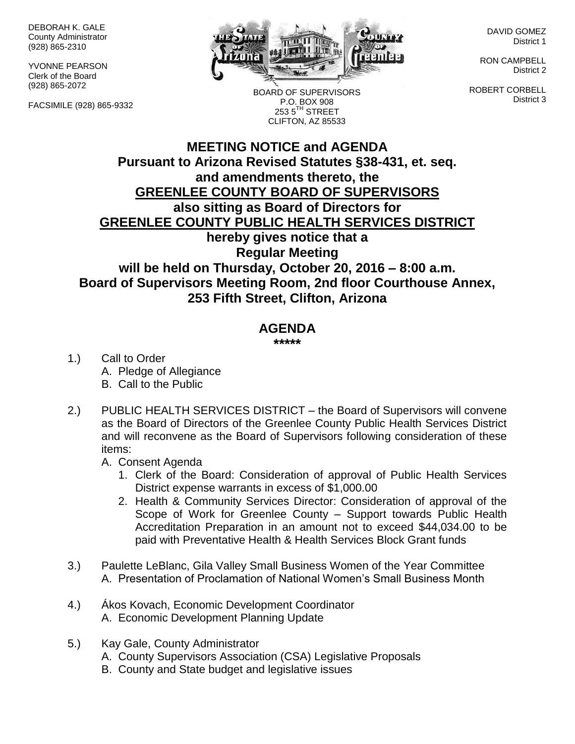DEBORAH K. GALE County Administrator (928) 865-2310

YVONNE PEARSON Clerk of the Board (928) 865-2072

FACSIMILE (928) 865-9332



BOARD OF SUPERVISORS P.O. BOX 908 253 5<sup>TH</sup> STREET CLIFTON, AZ 85533

DAVID GOMEZ District 1

RON CAMPBELL District 2

ROBERT CORBELL District 3

## **MEETING NOTICE and AGENDA Pursuant to Arizona Revised Statutes §38-431, et. seq. and amendments thereto, the GREENLEE COUNTY BOARD OF SUPERVISORS also sitting as Board of Directors for GREENLEE COUNTY PUBLIC HEALTH SERVICES DISTRICT hereby gives notice that a Regular Meeting will be held on Thursday, October 20, 2016 – 8:00 a.m. Board of Supervisors Meeting Room, 2nd floor Courthouse Annex, 253 Fifth Street, Clifton, Arizona**

## **AGENDA**

**\*\*\*\*\***

- 1.) Call to Order A. Pledge of Allegiance B. Call to the Public
- 2.) PUBLIC HEALTH SERVICES DISTRICT the Board of Supervisors will convene as the Board of Directors of the Greenlee County Public Health Services District and will reconvene as the Board of Supervisors following consideration of these items:
	- A. Consent Agenda
		- 1. Clerk of the Board: Consideration of approval of Public Health Services District expense warrants in excess of \$1,000.00
		- 2. Health & Community Services Director: Consideration of approval of the Scope of Work for Greenlee County – Support towards Public Health Accreditation Preparation in an amount not to exceed \$44,034.00 to be paid with Preventative Health & Health Services Block Grant funds
- 3.) Paulette LeBlanc, Gila Valley Small Business Women of the Year Committee A. Presentation of Proclamation of National Women's Small Business Month
- 4.) Ákos Kovach, Economic Development Coordinator A. Economic Development Planning Update
- 5.) Kay Gale, County Administrator
	- A. County Supervisors Association (CSA) Legislative Proposals
	- B. County and State budget and legislative issues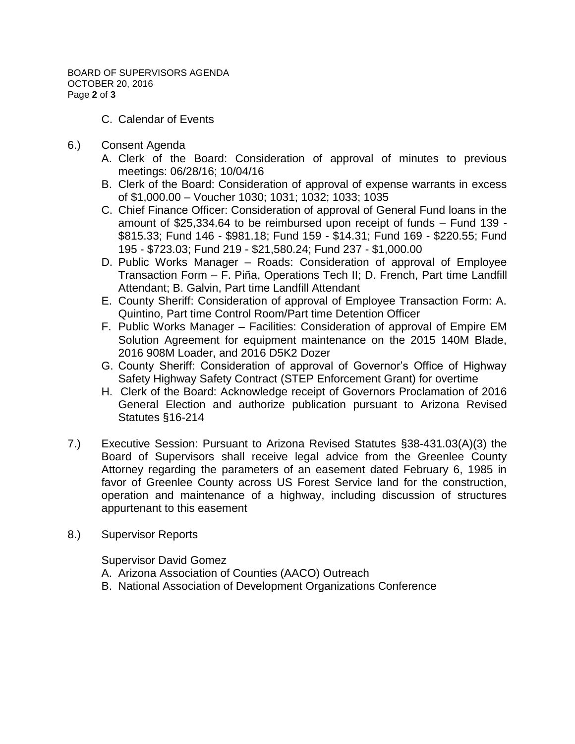- C. Calendar of Events
- 6.) Consent Agenda
	- A. Clerk of the Board: Consideration of approval of minutes to previous meetings: 06/28/16; 10/04/16
	- B. Clerk of the Board: Consideration of approval of expense warrants in excess of \$1,000.00 – Voucher 1030; 1031; 1032; 1033; 1035
	- C. Chief Finance Officer: Consideration of approval of General Fund loans in the amount of \$25,334.64 to be reimbursed upon receipt of funds – Fund 139 - \$815.33; Fund 146 - \$981.18; Fund 159 - \$14.31; Fund 169 - \$220.55; Fund 195 - \$723.03; Fund 219 - \$21,580.24; Fund 237 - \$1,000.00
	- D. Public Works Manager Roads: Consideration of approval of Employee Transaction Form – F. Piña, Operations Tech II; D. French, Part time Landfill Attendant; B. Galvin, Part time Landfill Attendant
	- E. County Sheriff: Consideration of approval of Employee Transaction Form: A. Quintino, Part time Control Room/Part time Detention Officer
	- F. Public Works Manager Facilities: Consideration of approval of Empire EM Solution Agreement for equipment maintenance on the 2015 140M Blade, 2016 908M Loader, and 2016 D5K2 Dozer
	- G. County Sheriff: Consideration of approval of Governor's Office of Highway Safety Highway Safety Contract (STEP Enforcement Grant) for overtime
	- H. Clerk of the Board: Acknowledge receipt of Governors Proclamation of 2016 General Election and authorize publication pursuant to Arizona Revised Statutes §16-214
- 7.) Executive Session: Pursuant to Arizona Revised Statutes §38-431.03(A)(3) the Board of Supervisors shall receive legal advice from the Greenlee County Attorney regarding the parameters of an easement dated February 6, 1985 in favor of Greenlee County across US Forest Service land for the construction, operation and maintenance of a highway, including discussion of structures appurtenant to this easement
- 8.) Supervisor Reports

Supervisor David Gomez

- A. Arizona Association of Counties (AACO) Outreach
- B. National Association of Development Organizations Conference